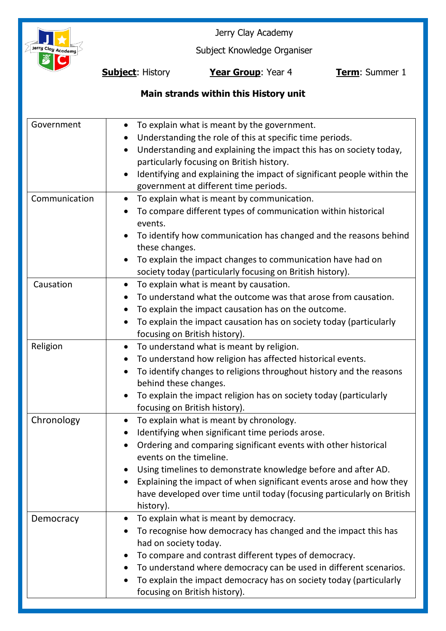

Jerry Clay Academy

Subject Knowledge Organiser

**Subject**: History **Year Group**: Year 4 **Term**: Summer 1

# **Main strands within this History unit**

| Government    | To explain what is meant by the government.<br>$\bullet$<br>Understanding the role of this at specific time periods.<br>Understanding and explaining the impact this has on society today,<br>$\bullet$<br>particularly focusing on British history.<br>Identifying and explaining the impact of significant people within the<br>government at different time periods.                                                               |
|---------------|---------------------------------------------------------------------------------------------------------------------------------------------------------------------------------------------------------------------------------------------------------------------------------------------------------------------------------------------------------------------------------------------------------------------------------------|
| Communication | To explain what is meant by communication.<br>$\bullet$<br>To compare different types of communication within historical<br>events.<br>To identify how communication has changed and the reasons behind<br>these changes.<br>To explain the impact changes to communication have had on<br>society today (particularly focusing on British history).                                                                                  |
| Causation     | To explain what is meant by causation.<br>$\bullet$<br>To understand what the outcome was that arose from causation.<br>To explain the impact causation has on the outcome.<br>To explain the impact causation has on society today (particularly<br>focusing on British history).                                                                                                                                                    |
| Religion      | To understand what is meant by religion.<br>$\bullet$<br>To understand how religion has affected historical events.<br>$\bullet$<br>To identify changes to religions throughout history and the reasons<br>behind these changes.<br>To explain the impact religion has on society today (particularly<br>focusing on British history).                                                                                                |
| Chronology    | To explain what is meant by chronology.<br>$\bullet$<br>Identifying when significant time periods arose.<br>Ordering and comparing significant events with other historical<br>events on the timeline.<br>Using timelines to demonstrate knowledge before and after AD.<br>Explaining the impact of when significant events arose and how they<br>have developed over time until today (focusing particularly on British<br>history). |
| Democracy     | To explain what is meant by democracy.<br>To recognise how democracy has changed and the impact this has<br>had on society today.<br>To compare and contrast different types of democracy.<br>To understand where democracy can be used in different scenarios.<br>To explain the impact democracy has on society today (particularly<br>$\bullet$<br>focusing on British history).                                                   |